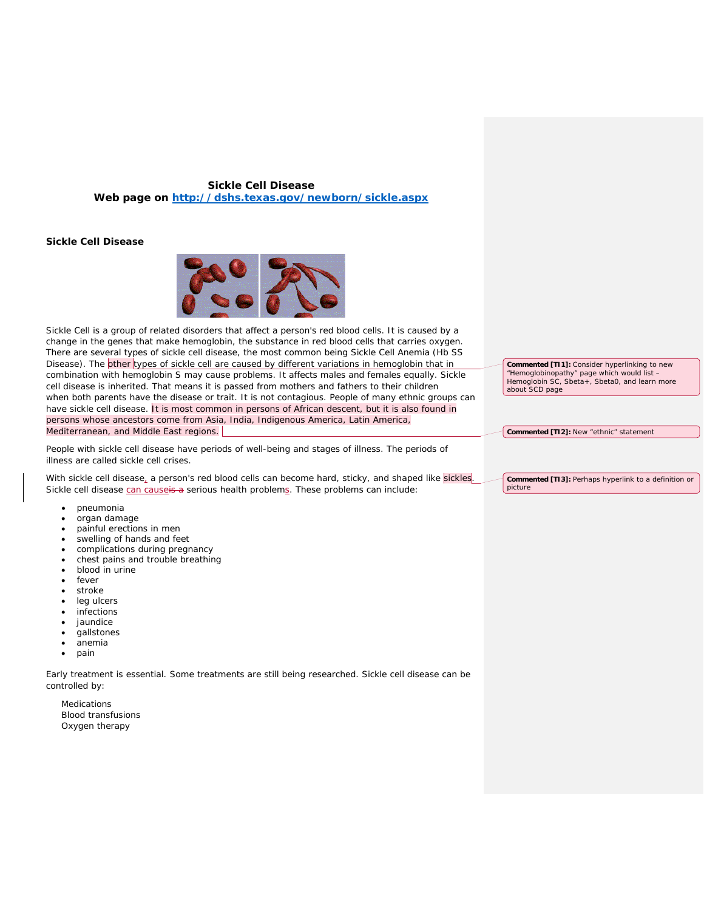## **Sickle Cell Disease Web page on<http://dshs.texas.gov/newborn/sickle.aspx>**

## **Sickle Cell Disease**



Sickle Cell is a group of related disorders that affect a person's red blood cells. It is caused by a change in the genes that make hemoglobin, the substance in red blood cells that carries oxygen. There are several types of sickle cell disease, the most common being Sickle Cell Anemia (Hb SS Disease). The other types of sickle cell are caused by different variations in hemoglobin that in combination with hemoglobin S may cause problems. It affects males and females equally. Sickle cell disease is *inherited.* That means it is passed from mothers and fathers to their children when both parents have the disease or trait. It is not contagious. People of many ethnic groups can have sickle cell disease. It is most common in persons of African descent, but it is also found in persons whose ancestors come from Asia, India, Indigenous America, Latin America, Mediterranean, and Middle East regions.

People with sickle cell disease have periods of well-being and stages of illness. The periods of illness are called sickle cell crises.

With sickle cell disease, a person's red blood cells can become hard, sticky, and shaped like sickles. Sickle cell disease can causeis a serious health problems. These problems can include:

- pneumonia
- organ damage
- painful erections in men
- swelling of hands and feet
- complications during pregnancy
- chest pains and trouble breathing
- blood in urine
- fever
- stroke
- leg ulcers
- infections
- jaundice
- gallstones
- anemia
- pain

Early treatment is essential. Some treatments are still being researched. Sickle cell disease can be controlled by:

Medications Blood transfusions Oxygen therapy

**Commented [TI1]:** Consider hyperlinking to new "Hemoglobinopathy" page which would list – Hemoglobin SC, Sbeta+, Sbeta0, and learn more about SCD page

**Commented [TI2]:** New "ethnic" statement

**Commented [TI3]:** Perhaps hyperlink to a definition or picture